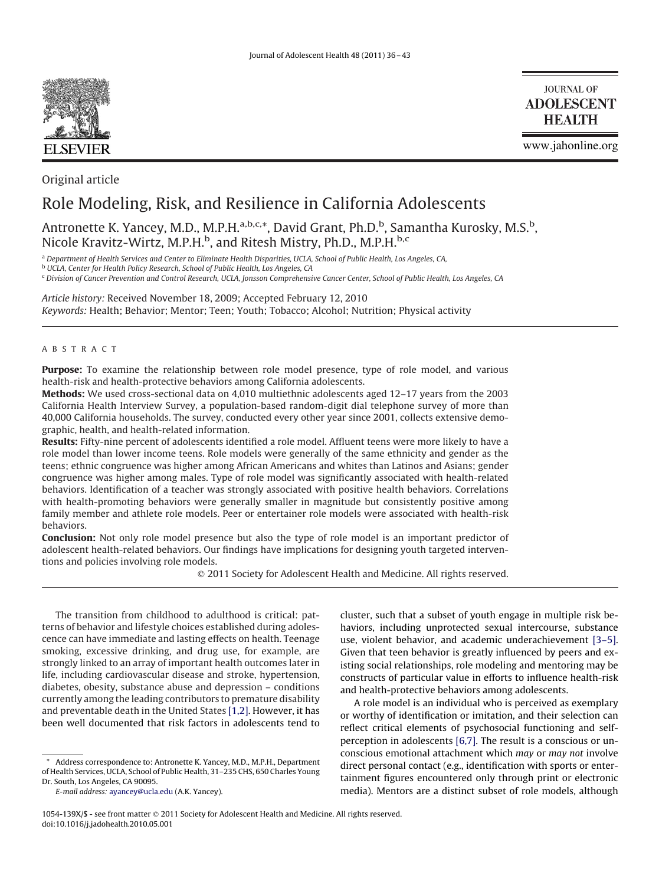

Original article

**JOURNAL OF ADOLESCENT HEALTH** 

www.jahonline.org

# Role Modeling, Risk, and Resilience in California Adolescents

# Antronette K. Yancey, M.D., M.P.H.<sup>a,b,c,\*</sup>, David Grant, Ph.D.<sup>b</sup>, Samantha Kurosky, M.S.<sup>b</sup>, Nicole Kravitz-Wirtz, M.P.H.<sup>b</sup>, and Ritesh Mistry, Ph.D., M.P.H.<sup>b,c</sup>

<sup>a</sup> *Department of Health Services and Center to Eliminate Health Disparities, UCLA, School of Public Health, Los Angeles, CA,*

<sup>b</sup> *UCLA, Center for Health Policy Research, School of Public Health, Los Angeles, CA*

<sup>c</sup> *Division of Cancer Prevention and Control Research, UCLA, Jonsson Comprehensive Cancer Center, School of Public Health, Los Angeles, CA*

*Article history:* Received November 18, 2009; Accepted February 12, 2010 *Keywords:* Health; Behavior; Mentor; Teen; Youth; Tobacco; Alcohol; Nutrition; Physical activity

# ABSTRACT

**Purpose:** To examine the relationship between role model presence, type of role model, and various health-risk and health-protective behaviors among California adolescents.

**Methods:** We used cross-sectional data on 4,010 multiethnic adolescents aged 12–17 years from the 2003 California Health Interview Survey, a population-based random-digit dial telephone survey of more than 40,000 California households. The survey, conducted every other year since 2001, collects extensive demographic, health, and health-related information.

**Results:** Fifty-nine percent of adolescents identified a role model. Affluent teens were more likely to have a role model than lower income teens. Role models were generally of the same ethnicity and gender as the teens; ethnic congruence was higher among African Americans and whites than Latinos and Asians; gender congruence was higher among males. Type of role model was significantly associated with health-related behaviors. Identification of a teacher was strongly associated with positive health behaviors. Correlations with health-promoting behaviors were generally smaller in magnitude but consistently positive among family member and athlete role models. Peer or entertainer role models were associated with health-risk behaviors.

**Conclusion:** Not only role model presence but also the type of role model is an important predictor of adolescent health-related behaviors. Our findings have implications for designing youth targeted interventions and policies involving role models.

2011 Society for Adolescent Health and Medicine. All rights reserved.

The transition from childhood to adulthood is critical: patterns of behavior and lifestyle choices established during adolescence can have immediate and lasting effects on health. Teenage smoking, excessive drinking, and drug use, for example, are strongly linked to an array of important health outcomes later in life, including cardiovascular disease and stroke, hypertension, diabetes, obesity, substance abuse and depression – conditions currently among the leading contributors to premature disability and preventable death in the United States [\[1,2\].](#page-6-0) However, it has been well documented that risk factors in adolescents tend to

cluster, such that a subset of youth engage in multiple risk behaviors, including unprotected sexual intercourse, substance use, violent behavior, and academic underachievement [\[3–5\].](#page-6-0) Given that teen behavior is greatly influenced by peers and existing social relationships, role modeling and mentoring may be constructs of particular value in efforts to influence health-risk and health-protective behaviors among adolescents.

A role model is an individual who is perceived as exemplary or worthy of identification or imitation, and their selection can reflect critical elements of psychosocial functioning and selfperception in adolescents [\[6,7\].](#page-6-0) The result is a conscious or unconscious emotional attachment which *may* or *may not* involve direct personal contact (e.g., identification with sports or entertainment figures encountered only through print or electronic media). Mentors are a distinct subset of role models, although

Address correspondence to: Antronette K. Yancey, M.D., M.P.H., Department of Health Services, UCLA, School of Public Health, 31–235 CHS, 650 Charles Young Dr. South, Los Angeles, CA 90095.

*E-mail address:* [ayancey@ucla.edu](mailto:ayancey@ucla.edu) (A.K. Yancey).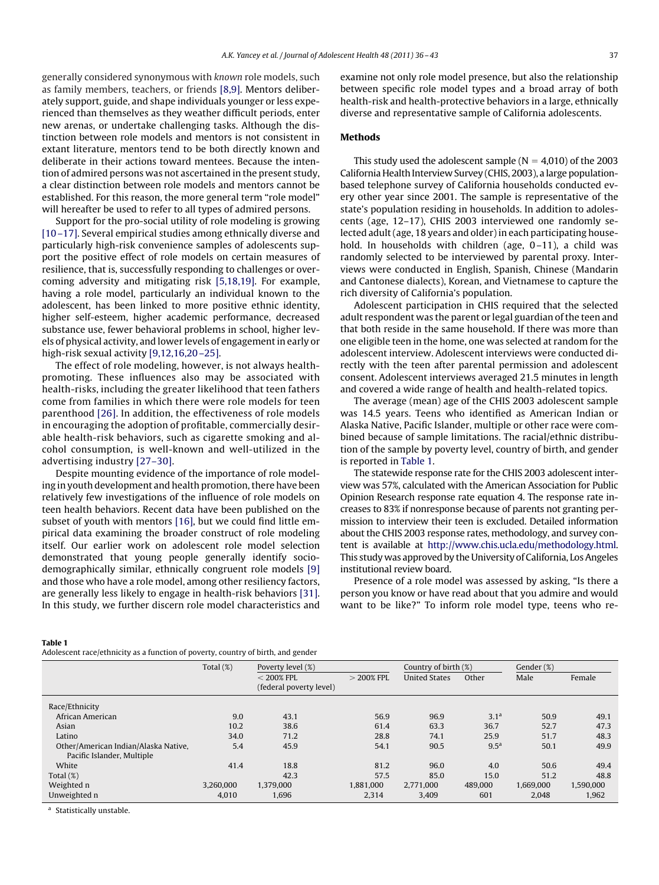generally considered synonymous with *known* role models, such as family members, teachers, or friends [\[8,9\].](#page-6-0) Mentors deliberately support, guide, and shape individuals younger or less experienced than themselves as they weather difficult periods, enter new arenas, or undertake challenging tasks. Although the distinction between role models and mentors is not consistent in extant literature, mentors tend to be both directly known and deliberate in their actions toward mentees. Because the intention of admired persons was not ascertained in the present study, a clear distinction between role models and mentors cannot be established. For this reason, the more general term "role model" will hereafter be used to refer to all types of admired persons.

Support for the pro-social utility of role modeling is growing [\[10 –17\].](#page-6-0) Several empirical studies among ethnically diverse and particularly high-risk convenience samples of adolescents support the positive effect of role models on certain measures of resilience, that is, successfully responding to challenges or overcoming adversity and mitigating risk [\[5,18,19\].](#page-6-0) For example, having a role model, particularly an individual known to the adolescent, has been linked to more positive ethnic identity, higher self-esteem, higher academic performance, decreased substance use, fewer behavioral problems in school, higher levels of physical activity, and lower levels of engagement in early or high-risk sexual activity [9,12,16,20-25].

The effect of role modeling, however, is not always healthpromoting. These influences also may be associated with health-risks, including the greater likelihood that teen fathers come from families in which there were role models for teen parenthood [\[26\].](#page-6-0) In addition, the effectiveness of role models in encouraging the adoption of profitable, commercially desirable health-risk behaviors, such as cigarette smoking and alcohol consumption, is well-known and well-utilized in the advertising industry [\[27–30\].](#page-6-0)

Despite mounting evidence of the importance of role modeling in youth development and health promotion, there have been relatively few investigations of the influence of role models on teen health behaviors. Recent data have been published on the subset of youth with mentors [\[16\],](#page-6-0) but we could find little empirical data examining the broader construct of role modeling itself. Our earlier work on adolescent role model selection demonstrated that young people generally identify sociodemographically similar, ethnically congruent role models [\[9\]](#page-6-0) and those who have a role model, among other resiliency factors, are generally less likely to engage in health-risk behaviors [\[31\].](#page-7-0) In this study, we further discern role model characteristics and examine not only role model presence, but also the relationship between specific role model types and a broad array of both health-risk and health-protective behaviors in a large, ethnically diverse and representative sample of California adolescents.

# **Methods**

This study used the adolescent sample ( $N = 4,010$ ) of the 2003 California Health Interview Survey (CHIS, 2003), a large populationbased telephone survey of California households conducted every other year since 2001. The sample is representative of the state's population residing in households. In addition to adolescents (age, 12–17), CHIS 2003 interviewed one randomly selected adult (age, 18 years and older) in each participating household. In households with children (age, 0-11), a child was randomly selected to be interviewed by parental proxy. Interviews were conducted in English, Spanish, Chinese (Mandarin and Cantonese dialects), Korean, and Vietnamese to capture the rich diversity of California's population.

Adolescent participation in CHIS required that the selected adult respondent was the parent or legal guardian of the teen and that both reside in the same household. If there was more than one eligible teen in the home, one was selected at random for the adolescent interview. Adolescent interviews were conducted directly with the teen after parental permission and adolescent consent. Adolescent interviews averaged 21.5 minutes in length and covered a wide range of health and health-related topics.

The average (mean) age of the CHIS 2003 adolescent sample was 14.5 years. Teens who identified as American Indian or Alaska Native, Pacific Islander, multiple or other race were combined because of sample limitations. The racial/ethnic distribution of the sample by poverty level, country of birth, and gender is reported in Table 1.

The statewide response rate for the CHIS 2003 adolescent interview was 57%, calculated with the American Association for Public Opinion Research response rate equation 4. The response rate increases to 83% if nonresponse because of parents not granting permission to interview their teen is excluded. Detailed information about the CHIS 2003 response rates, methodology, and survey content is available at [http://www.chis.ucla.edu/methodology.html.](http://www.chis.ucla.edu/methodology.html) This study was approved by the University of California, Los Angeles institutional review board.

Presence of a role model was assessed by asking, "Is there a person you know or have read about that you admire and would want to be like?" To inform role model type, teens who re-

#### **Table 1**

Adolescent race/ethnicity as a function of poverty, country of birth, and gender

| abiebeent race/cennenty ab a ranchon or poverty, country or birth, and genuer |              |                         |                      |                      |                  |           |           |  |  |  |
|-------------------------------------------------------------------------------|--------------|-------------------------|----------------------|----------------------|------------------|-----------|-----------|--|--|--|
|                                                                               | Total $(\%)$ | Poverty level (%)       | Country of birth (%) |                      | Gender (%)       |           |           |  |  |  |
|                                                                               |              | $<$ 200% FPL            | $>$ 200% FPL         | <b>United States</b> | Other            | Male      | Female    |  |  |  |
|                                                                               |              | (federal poverty level) |                      |                      |                  |           |           |  |  |  |
| Race/Ethnicity                                                                |              |                         |                      |                      |                  |           |           |  |  |  |
| African American                                                              | 9.0          | 43.1                    | 56.9                 | 96.9                 | 3.1 <sup>a</sup> | 50.9      | 49.1      |  |  |  |
| Asian                                                                         | 10.2         | 38.6                    | 61.4                 | 63.3                 | 36.7             | 52.7      | 47.3      |  |  |  |
| Latino                                                                        | 34.0         | 71.2                    | 28.8                 | 74.1                 | 25.9             | 51.7      | 48.3      |  |  |  |
| Other/American Indian/Alaska Native,                                          | 5.4          | 45.9                    | 54.1                 | 90.5                 | 9.5 <sup>a</sup> | 50.1      | 49.9      |  |  |  |
| Pacific Islander, Multiple                                                    |              |                         |                      |                      |                  |           |           |  |  |  |
| White                                                                         | 41.4         | 18.8                    | 81.2                 | 96.0                 | 4.0              | 50.6      | 49.4      |  |  |  |
| Total $(\%)$                                                                  |              | 42.3                    | 57.5                 | 85.0                 | 15.0             | 51.2      | 48.8      |  |  |  |
| Weighted n                                                                    | 3.260,000    | 1,379,000               | 1,881,000            | 2.771.000            | 489,000          | 1.669.000 | 1,590,000 |  |  |  |
| Unweighted n                                                                  | 4,010        | 1,696                   | 2,314                | 3,409                | 601              | 2.048     | 1,962     |  |  |  |

a Statistically unstable.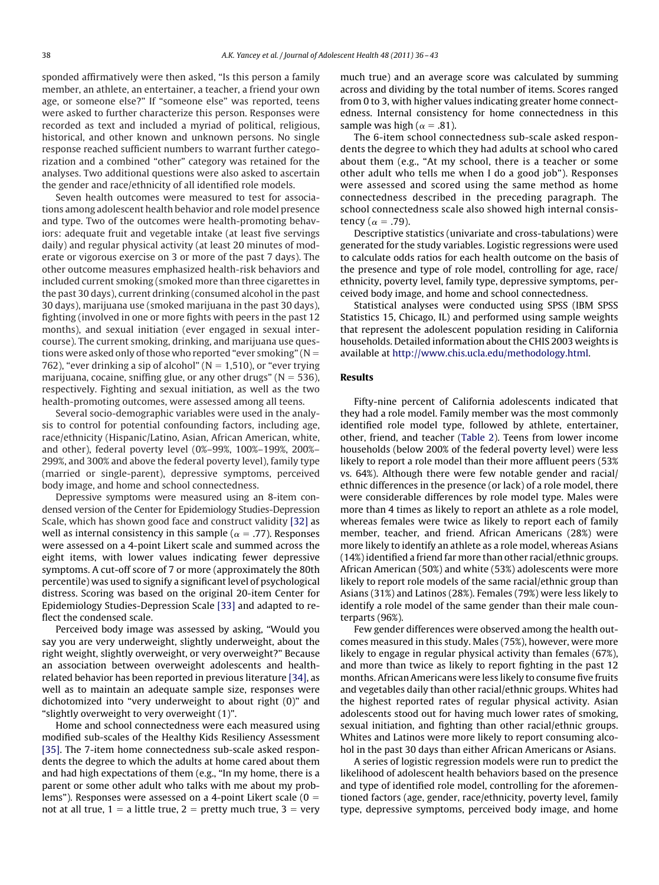sponded affirmatively were then asked, "Is this person a family member, an athlete, an entertainer, a teacher, a friend your own age, or someone else?" If "someone else" was reported, teens were asked to further characterize this person. Responses were recorded as text and included a myriad of political, religious, historical, and other known and unknown persons. No single response reached sufficient numbers to warrant further categorization and a combined "other" category was retained for the analyses. Two additional questions were also asked to ascertain the gender and race/ethnicity of all identified role models.

Seven health outcomes were measured to test for associations among adolescent health behavior and role model presence and type. Two of the outcomes were health-promoting behaviors: adequate fruit and vegetable intake (at least five servings daily) and regular physical activity (at least 20 minutes of moderate or vigorous exercise on 3 or more of the past 7 days). The other outcome measures emphasized health-risk behaviors and included current smoking (smoked more than three cigarettes in the past 30 days), current drinking (consumed alcohol in the past 30 days), marijuana use (smoked marijuana in the past 30 days), fighting (involved in one or more fights with peers in the past 12 months), and sexual initiation (ever engaged in sexual intercourse). The current smoking, drinking, and marijuana use questions were asked only of those who reported "ever smoking" ( $N =$ 762), "ever drinking a sip of alcohol" ( $N = 1,510$ ), or "ever trying marijuana, cocaine, sniffing glue, or any other drugs" ( $N = 536$ ), respectively. Fighting and sexual initiation, as well as the two health-promoting outcomes, were assessed among all teens.

Several socio-demographic variables were used in the analysis to control for potential confounding factors, including age, race/ethnicity (Hispanic/Latino, Asian, African American, white, and other), federal poverty level (0%–99%, 100%–199%, 200%– 299%, and 300% and above the federal poverty level), family type (married or single-parent), depressive symptoms, perceived body image, and home and school connectedness.

Depressive symptoms were measured using an 8-item condensed version of the Center for Epidemiology Studies-Depression Scale, which has shown good face and construct validity [\[32\]](#page-7-0) as well as internal consistency in this sample ( $\alpha$  = .77). Responses were assessed on a 4-point Likert scale and summed across the eight items, with lower values indicating fewer depressive symptoms. A cut-off score of 7 or more (approximately the 80th percentile) was used to signify a significant level of psychological distress. Scoring was based on the original 20-item Center for Epidemiology Studies-Depression Scale [\[33\]](#page-7-0) and adapted to reflect the condensed scale.

Perceived body image was assessed by asking, "Would you say you are very underweight, slightly underweight, about the right weight, slightly overweight, or very overweight?" Because an association between overweight adolescents and healthrelated behavior has been reported in previous literature [\[34\],](#page-7-0) as well as to maintain an adequate sample size, responses were dichotomized into "very underweight to about right (0)" and "slightly overweight to very overweight (1)".

Home and school connectedness were each measured using modified sub-scales of the Healthy Kids Resiliency Assessment [\[35\].](#page-7-0) The 7-item home connectedness sub-scale asked respondents the degree to which the adults at home cared about them and had high expectations of them (e.g., "In my home, there is a parent or some other adult who talks with me about my problems"). Responses were assessed on a 4-point Likert scale  $(0 =$ not at all true,  $1 = a$  little true,  $2 =$  pretty much true,  $3 =$  very

much true) and an average score was calculated by summing across and dividing by the total number of items. Scores ranged from 0 to 3, with higher values indicating greater home connectedness. Internal consistency for home connectedness in this sample was high ( $\alpha = .81$ ).

The 6-item school connectedness sub-scale asked respondents the degree to which they had adults at school who cared about them (e.g., "At my school, there is a teacher or some other adult who tells me when I do a good job"). Responses were assessed and scored using the same method as home connectedness described in the preceding paragraph. The school connectedness scale also showed high internal consistency ( $\alpha = .79$ ).

Descriptive statistics (univariate and cross-tabulations) were generated for the study variables. Logistic regressions were used to calculate odds ratios for each health outcome on the basis of the presence and type of role model, controlling for age, race/ ethnicity, poverty level, family type, depressive symptoms, perceived body image, and home and school connectedness.

Statistical analyses were conducted using SPSS (IBM SPSS Statistics 15, Chicago, IL) and performed using sample weights that represent the adolescent population residing in California households. Detailed information about the CHIS 2003 weights is available at [http://www.chis.ucla.edu/methodology.html.](http://www.chis.ucla.edu/methodology.html)

#### **Results**

Fifty-nine percent of California adolescents indicated that they had a role model. Family member was the most commonly identified role model type, followed by athlete, entertainer, other, friend, and teacher [\(Table 2\)](#page-3-0). Teens from lower income households (below 200% of the federal poverty level) were less likely to report a role model than their more affluent peers (53% vs. 64%). Although there were few notable gender and racial/ ethnic differences in the presence (or lack) of a role model, there were considerable differences by role model type. Males were more than 4 times as likely to report an athlete as a role model, whereas females were twice as likely to report each of family member, teacher, and friend. African Americans (28%) were more likely to identify an athlete as a role model, whereas Asians (14%) identified a friend far more than other racial/ethnic groups. African American (50%) and white (53%) adolescents were more likely to report role models of the same racial/ethnic group than Asians (31%) and Latinos (28%). Females (79%) were less likely to identify a role model of the same gender than their male counterparts (96%).

Few gender differences were observed among the health outcomes measured in this study. Males (75%), however, were more likely to engage in regular physical activity than females (67%), and more than twice as likely to report fighting in the past 12 months. African Americans were less likely to consume five fruits and vegetables daily than other racial/ethnic groups. Whites had the highest reported rates of regular physical activity. Asian adolescents stood out for having much lower rates of smoking, sexual initiation, and fighting than other racial/ethnic groups. Whites and Latinos were more likely to report consuming alcohol in the past 30 days than either African Americans or Asians.

A series of logistic regression models were run to predict the likelihood of adolescent health behaviors based on the presence and type of identified role model, controlling for the aforementioned factors (age, gender, race/ethnicity, poverty level, family type, depressive symptoms, perceived body image, and home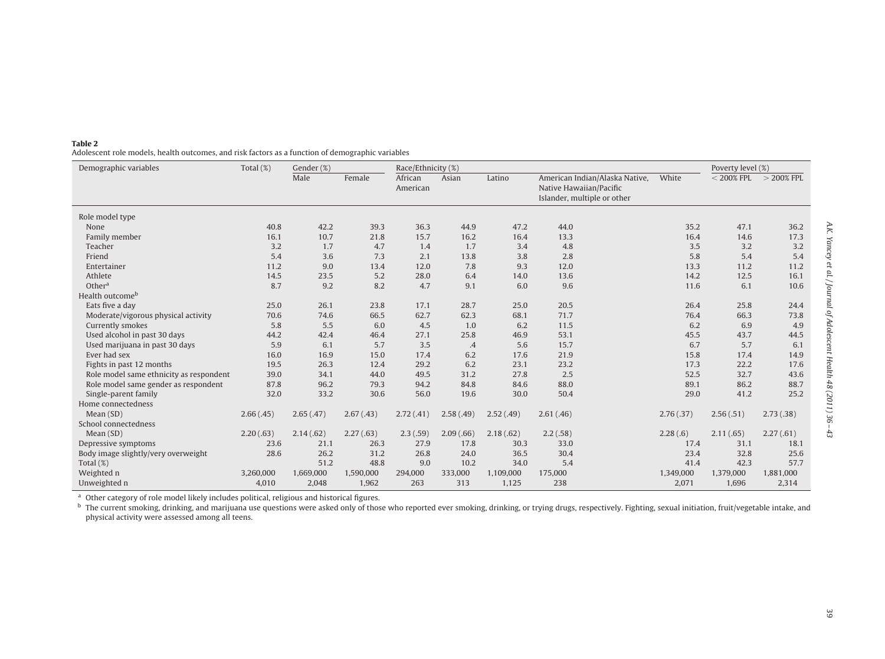<span id="page-3-0"></span>

| Table 2                                                                                          |
|--------------------------------------------------------------------------------------------------|
| Adolescent role models, health outcomes, and risk factors as a function of demographic variables |

| Demographic variables                   | Total $(\%)$ | Gender (%) |           | Race/Ethnicity (%)  |           |           | Poverty level (%)                                                                        |           |              |              |
|-----------------------------------------|--------------|------------|-----------|---------------------|-----------|-----------|------------------------------------------------------------------------------------------|-----------|--------------|--------------|
|                                         |              | Male       | Female    | African<br>American | Asian     | Latino    | American Indian/Alaska Native,<br>Native Hawaiian/Pacific<br>Islander, multiple or other | White     | $<$ 200% FPL | $>$ 200% FPL |
| Role model type                         |              |            |           |                     |           |           |                                                                                          |           |              |              |
| None                                    | 40.8         | 42.2       | 39.3      | 36.3                | 44.9      | 47.2      | 44.0                                                                                     | 35.2      | 47.1         | 36.2         |
| Family member                           | 16.1         | 10.7       | 21.8      | 15.7                | 16.2      | 16.4      | 13.3                                                                                     | 16.4      | 14.6         | 17.3         |
| Teacher                                 | 3.2          | 1.7        | 4.7       | 1.4                 | 1.7       | 3.4       | 4.8                                                                                      | 3.5       | 3.2          | 3.2          |
| Friend                                  | 5.4          | 3.6        | 7.3       | 2.1                 | 13.8      | 3.8       | 2.8                                                                                      | 5.8       | 5.4          | 5.4          |
| Entertainer                             | 11.2         | 9.0        | 13.4      | 12.0                | 7.8       | 9.3       | 12.0                                                                                     | 13.3      | 11.2         | 11.2         |
| Athlete                                 | 14.5         | 23.5       | 5.2       | 28.0                | 6.4       | 14.0      | 13.6                                                                                     | 14.2      | 12.5         | 16.1         |
| Other <sup>a</sup>                      | 8.7          | 9.2        | 8.2       | 4.7                 | 9.1       | 6.0       | 9.6                                                                                      | 11.6      | 6.1          | 10.6         |
| Health outcome <sup>b</sup>             |              |            |           |                     |           |           |                                                                                          |           |              |              |
| Eats five a day                         | 25.0         | 26.1       | 23.8      | 17.1                | 28.7      | 25.0      | 20.5                                                                                     | 26.4      | 25.8         | 24.4         |
| Moderate/vigorous physical activity     | 70.6         | 74.6       | 66.5      | 62.7                | 62.3      | 68.1      | 71.7                                                                                     | 76.4      | 66.3         | 73.8         |
| Currently smokes                        | 5.8          | 5.5        | 6.0       | 4.5                 | 1.0       | 6.2       | 11.5                                                                                     | 6.2       | 6.9          | 4.9          |
| Used alcohol in past 30 days            | 44.2         | 42.4       | 46.4      | 27.1                | 25.8      | 46.9      | 53.1                                                                                     | 45.5      | 43.7         | 44.5         |
| Used marijuana in past 30 days          | 5.9          | 6.1        | 5.7       | 3.5                 | $\cdot$   | 5.6       | 15.7                                                                                     | 6.7       | 5.7          | 6.1          |
| Ever had sex                            | 16.0         | 16.9       | 15.0      | 17.4                | 6.2       | 17.6      | 21.9                                                                                     | 15.8      | 17.4         | 14.9         |
| Fights in past 12 months                | 19.5         | 26.3       | 12.4      | 29.2                | 6.2       | 23.1      | 23.2                                                                                     | 17.3      | 22.2         | 17.6         |
| Role model same ethnicity as respondent | 39.0         | 34.1       | 44.0      | 49.5                | 31.2      | 27.8      | 2.5                                                                                      | 52.5      | 32.7         | 43.6         |
| Role model same gender as respondent    | 87.8         | 96.2       | 79.3      | 94.2                | 84.8      | 84.6      | 88.0                                                                                     | 89.1      | 86.2         | 88.7         |
| Single-parent family                    | 32.0         | 33.2       | 30.6      | 56.0                | 19.6      | 30.0      | 50.4                                                                                     | 29.0      | 41.2         | 25.2         |
| Home connectedness                      |              |            |           |                     |           |           |                                                                                          |           |              |              |
| Mean (SD)                               | 2.66(.45)    | 2.65(.47)  | 2.67(.43) | 2.72(.41)           | 2.58(.49) | 2.52(.49) | 2.61(.46)                                                                                | 2.76(.37) | 2.56(.51)    | 2.73(0.38)   |
| School connectedness                    |              |            |           |                     |           |           |                                                                                          |           |              |              |
| Mean(SD)                                | 2.20(.63)    | 2.14(.62)  | 2.27(.63) | 2.3(.59)            | 2.09(.66) | 2.18(.62) | 2.2(.58)                                                                                 | 2.28(.6)  | 2.11(.65)    | 2.27(.61)    |
| Depressive symptoms                     | 23.6         | 21.1       | 26.3      | 27.9                | 17.8      | 30.3      | 33.0                                                                                     | 17.4      | 31.1         | 18.1         |
| Body image slightly/very overweight     | 28.6         | 26.2       | 31.2      | 26.8                | 24.0      | 36.5      | 30.4                                                                                     | 23.4      | 32.8         | 25.6         |
| Total $(\%)$                            |              | 51.2       | 48.8      | 9.0                 | 10.2      | 34.0      | 5.4                                                                                      | 41.4      | 42.3         | 57.7         |
| Weighted n                              | 3,260,000    | 1,669,000  | 1,590,000 | 294,000             | 333,000   | 1,109,000 | 175,000                                                                                  | 1,349,000 | 1,379,000    | 1,881,000    |
| Unweighted n                            | 4,010        | 2,048      | 1,962     | 263                 | 313       | 1,125     | 238                                                                                      | 2,071     | 1,696        | 2,314        |

<sup>a</sup> Other category of role model likely includes political, religious and historical figures.<br><sup>b</sup> The current smoking, drinking, and marijuana use questions were asked only of those who reported ever smoking, drinking, or physical activity were assessed among all teens.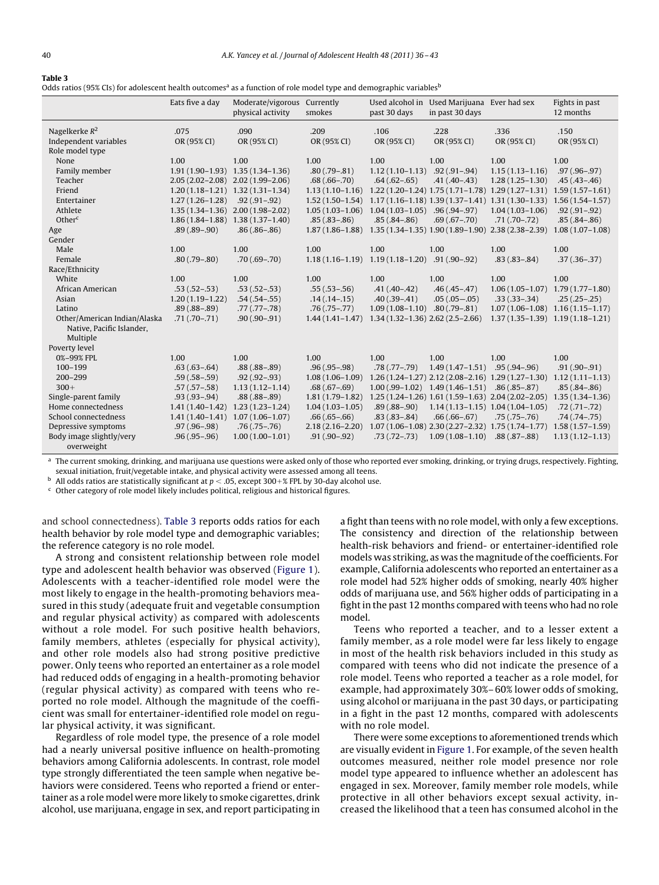#### <span id="page-4-0"></span>**Table 3**

Odds ratios (95% CIs) for adolescent health outcomes<sup>a</sup> as a function of role model type and demographic variables<sup>b</sup>

|                                           | Eats five a day     | Moderate/vigorous Currently<br>physical activity | smokes              | past 30 days                                       | Used alcohol in Used Marijuana Ever had sex<br>in past 30 days |                                                                                           | Fights in past<br>12 months         |
|-------------------------------------------|---------------------|--------------------------------------------------|---------------------|----------------------------------------------------|----------------------------------------------------------------|-------------------------------------------------------------------------------------------|-------------------------------------|
| Nagelkerke $R^2$<br>Independent variables | .075<br>OR (95% CI) | .090<br>OR (95% CI)                              | .209<br>OR (95% CI) | .106<br>OR (95% CI)                                | .228<br>OR (95% CI)                                            | .336<br>OR (95% CI)                                                                       | .150<br>OR (95% CI)                 |
| Role model type                           |                     |                                                  |                     |                                                    |                                                                |                                                                                           |                                     |
| None                                      | 1.00                | 1.00                                             | 1.00                | 1.00                                               | 1.00                                                           | 1.00                                                                                      | 1.00                                |
| Family member                             |                     | 1.91 (1.90-1.93) 1.35 (1.34-1.36)                | $.80(.79-.81)$      | $1.12(1.10-1.13)$ .92 (.91-.94)                    |                                                                | $1.15(1.13 - 1.16)$                                                                       | $.97(.96-.97)$                      |
| Teacher                                   |                     | 2.05 (2.02-2.08) 2.02 (1.99-2.06)                | $.68(.66-.70)$      | $.64(.62-.65)$                                     | $.41(.40-.43)$                                                 | $1.28(1.25-1.30)$                                                                         | $.45(.43-.46)$                      |
| Friend                                    |                     | $1,20(1,18-1,21)$ $1,32(1,31-1,34)$              |                     |                                                    |                                                                | $1.13(1.10-1.16)$ $1.22(1.20-1.24)$ $1.75(1.71-1.78)$ $1.29(1.27-1.31)$ $1.59(1.57-1.61)$ |                                     |
| Entertainer                               | $1.27(1.26-1.28)$   | $.92(.91-.92)$                                   |                     |                                                    |                                                                | 1.52 (1.50-1.54) 1.17 (1.16-1.18) 1.39 (1.37-1.41) 1.31 (1.30-1.33) 1.56 (1.54-1.57)      |                                     |
| Athlete                                   |                     | 1.35 (1.34-1.36) 2.00 (1.98-2.02)                |                     | $1.05(1.03-1.06)$ $1.04(1.03-1.05)$ $.96(.94-.97)$ |                                                                | $1.04(1.03 - 1.06)$                                                                       | $.92(.91-.92)$                      |
| Other <sup>c</sup>                        |                     | $1.86(1.84-1.88)$ $1.38(1.37-1.40)$              | $.85(.83-.86)$      | $.85(.84-.86)$                                     | $.69(.67-.70)$                                                 | $.71(.70-.72)$                                                                            | $.85(.84-.86)$                      |
| Age                                       | $.89(.89-.90)$      | $.86(.86-.86)$                                   |                     |                                                    |                                                                | $1.87(1.86-1.88)$ $1.35(1.34-1.35)$ $1.90(1.89-1.90)$ $2.38(2.38-2.39)$                   | $1.08(1.07-1.08)$                   |
| Gender                                    |                     |                                                  |                     |                                                    |                                                                |                                                                                           |                                     |
| Male                                      | 1.00                | 1.00                                             | 1.00                | 1.00                                               | 1.00                                                           | 1.00                                                                                      | 1.00                                |
| Female                                    | $.80(.79-.80)$      | $.70(.69-.70)$                                   | $1.18(1.16-1.19)$   | $1.19(1.18 - 1.20)$                                | $.91(.90-.92)$                                                 | $.83(.83-.84)$                                                                            | $.37(.36-.37)$                      |
| Race/Ethnicity                            |                     |                                                  |                     |                                                    |                                                                |                                                                                           |                                     |
| White                                     | 1.00                | 1.00                                             | 1.00                | 1.00                                               | 1.00                                                           | 1.00                                                                                      | 1.00                                |
| African American                          | $.53(.52-.53)$      | $.53(.52-.53)$                                   | $.55(.53-.56)$      | $.41(.40-.42)$                                     | $.46(.45-.47)$                                                 |                                                                                           | $1.06(1.05-1.07)$ $1.79(1.77-1.80)$ |
| Asian                                     | $1.20(1.19-1.22)$   | $.54(.54-.55)$                                   | $.14(.14-.15)$      | $.40(.39-.41)$                                     | $.05(.05-.05)$                                                 | $.33(.33-.34)$                                                                            | $.25(.25-.25)$                      |
| Latino                                    | $.89(.88-.89)$      | $.77(.77-.78)$                                   | $.76(.75-.77)$      | $1.09(1.08-1.10)$ .80 (.79-.81)                    |                                                                |                                                                                           | $1.07(1.06-1.08)$ $1.16(1.15-1.17)$ |
| Other/American Indian/Alaska              | $.71(.70-.71)$      | $.90(.90-.91)$                                   | $1.44(1.41-1.47)$   | $1.34(1.32-1.36)$ $2.62(2.5-2.66)$                 |                                                                |                                                                                           | $1.37(1.35-1.39)$ $1.19(1.18-1.21)$ |
| Native, Pacific Islander,                 |                     |                                                  |                     |                                                    |                                                                |                                                                                           |                                     |
| Multiple                                  |                     |                                                  |                     |                                                    |                                                                |                                                                                           |                                     |
| Poverty level                             |                     |                                                  |                     |                                                    |                                                                |                                                                                           |                                     |
| 0%-99% FPL                                | 1.00                | 1.00                                             | 1.00                | 1.00                                               | 1.00                                                           | 1.00                                                                                      | 1.00                                |
| $100 - 199$                               | $.63(.63-.64)$      | $.88(.88-.89)$                                   | $.96(.95-.98)$      | $.78(.77-.79)$                                     | $1.49(1.47-1.51)$ .95 (.94-.96)                                |                                                                                           | $.91(.90-.91)$                      |
| $200 - 299$                               | $.59(.58-.59)$      | $.92(.92-.93)$                                   | $1.08(1.06-1.09)$   |                                                    |                                                                | 1.26 (1.24-1.27) 2.12 (2.08-2.16) 1.29 (1.27-1.30) 1.12 (1.11-1.13)                       |                                     |
| $300+$                                    | $.57(.57-.58)$      | $1.13(1.12 - 1.14)$                              | $.68(.67-.69)$      |                                                    | $1.00(.99-1.02)$ $1.49(1.46-1.51)$ $.86(.85-.87)$              |                                                                                           | $.85(.84-.86)$                      |
| Single-parent family                      | $.93(.93-.94)$      | $.88(.88-.89)$                                   | $1.81(1.79-1.82)$   |                                                    |                                                                | 1.25 (1.24-1.26) 1.61 (1.59-1.63) 2.04 (2.02-2.05) 1.35 (1.34-1.36)                       |                                     |
| Home connectedness                        |                     | $1.41(1.40-1.42)$ $1.23(1.23-1.24)$              | $1.04(1.03 - 1.05)$ |                                                    |                                                                | $.89(.88-.90)$ $1.14(1.13-1.15)$ $1.04(1.04-1.05)$                                        | $.72(.71-.72)$                      |
| School connectedness                      |                     | $1.41(1.40-1.41)$ $1.07(1.06-1.07)$              | $.66(.65-.66)$      | $.83(.83-.84)$                                     | $.66(.66-.67)$                                                 | $.75(.75-.76)$                                                                            | $.74(.74-.75)$                      |
| Depressive symptoms                       | $.97(.96-.98)$      | $.76(.75-.76)$                                   | $2.18(2.16 - 2.20)$ |                                                    |                                                                | $1.07(1.06-1.08)$ $2.30(2.27-2.32)$ $1.75(1.74-1.77)$                                     | $1.58(1.57-1.59)$                   |
| Body image slightly/very<br>overweight    | $.96(.95-.96)$      | $1.00(1.00-1.01)$                                | $.91(.90-.92)$      | $.73(.72-.73)$                                     | $1.09(1.08 - 1.10)$                                            | $.88(.87-.88)$                                                                            | $1.13(1.12 - 1.13)$                 |

The current smoking, drinking, and marijuana use questions were asked only of those who reported ever smoking, drinking, or trying drugs, respectively. Fighting, sexual initiation, fruit/vegetable intake, and physical activity were assessed among all teens.

<sup>b</sup> All odds ratios are statistically significant at  $p < .05$ , except 300+% FPL by 30-day alcohol use.

 $c$  Other category of role model likely includes political, religious and historical figures.

and school connectedness). Table 3 reports odds ratios for each health behavior by role model type and demographic variables; the reference category is no role model.

A strong and consistent relationship between role model type and adolescent health behavior was observed [\(Figure 1\)](#page-5-0). Adolescents with a teacher-identified role model were the most likely to engage in the health-promoting behaviors measured in this study (adequate fruit and vegetable consumption and regular physical activity) as compared with adolescents without a role model. For such positive health behaviors, family members, athletes (especially for physical activity), and other role models also had strong positive predictive power. Only teens who reported an entertainer as a role model had reduced odds of engaging in a health-promoting behavior (regular physical activity) as compared with teens who reported no role model. Although the magnitude of the coefficient was small for entertainer-identified role model on regular physical activity, it was significant.

Regardless of role model type, the presence of a role model had a nearly universal positive influence on health-promoting behaviors among California adolescents. In contrast, role model type strongly differentiated the teen sample when negative behaviors were considered. Teens who reported a friend or entertainer as a role model were more likely to smoke cigarettes, drink alcohol, use marijuana, engage in sex, and report participating in

a fight than teens with no role model, with only a few exceptions. The consistency and direction of the relationship between health-risk behaviors and friend- or entertainer-identified role models was striking, as was the magnitude of the coefficients. For example, California adolescents who reported an entertainer as a role model had 52% higher odds of smoking, nearly 40% higher odds of marijuana use, and 56% higher odds of participating in a fight in the past 12 months compared with teens who had no role model.

Teens who reported a teacher, and to a lesser extent a family member, as a role model were far less likely to engage in most of the health risk behaviors included in this study as compared with teens who did not indicate the presence of a role model. Teens who reported a teacher as a role model, for example, had approximately 30%– 60% lower odds of smoking, using alcohol or marijuana in the past 30 days, or participating in a fight in the past 12 months, compared with adolescents with no role model.

There were some exceptions to aforementioned trends which are visually evident in [Figure 1.](#page-5-0) For example, of the seven health outcomes measured, neither role model presence nor role model type appeared to influence whether an adolescent has engaged in sex. Moreover, family member role models, while protective in all other behaviors except sexual activity, increased the likelihood that a teen has consumed alcohol in the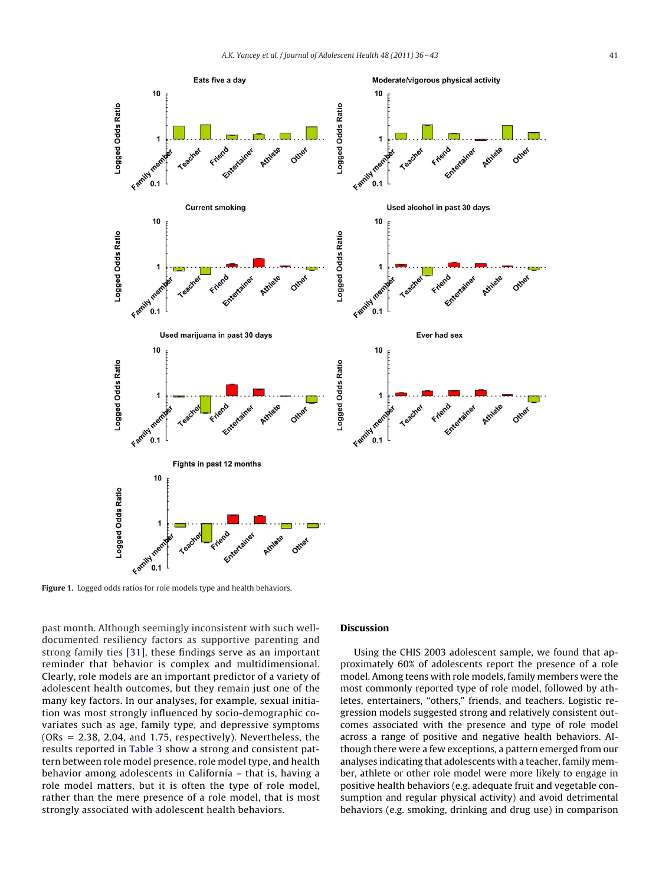<span id="page-5-0"></span>

**Figure 1.** Logged odds ratios for role models type and health behaviors.

past month. Although seemingly inconsistent with such welldocumented resiliency factors as supportive parenting and strong family ties [\[31\],](#page-7-0) these findings serve as an important reminder that behavior is complex and multidimensional. Clearly, role models are an important predictor of a variety of adolescent health outcomes, but they remain just one of the many key factors. In our analyses, for example, sexual initiation was most strongly influenced by socio-demographic covariates such as age, family type, and depressive symptoms  $(ORs = 2.38, 2.04, and 1.75, respectively).$  Nevertheless, the results reported in [Table 3](#page-4-0) show a strong and consistent pattern between role model presence, role model type, and health behavior among adolescents in California – that is, having a role model matters, but it is often the type of role model, rather than the mere presence of a role model, that is most strongly associated with adolescent health behaviors.

## **Discussion**

Using the CHIS 2003 adolescent sample, we found that approximately 60% of adolescents report the presence of a role model. Among teens with role models, family members were the most commonly reported type of role model, followed by athletes, entertainers, "others," friends, and teachers. Logistic regression models suggested strong and relatively consistent outcomes associated with the presence and type of role model across a range of positive and negative health behaviors. Although there were a few exceptions, a pattern emerged from our analyses indicating that adolescents with a teacher, family member, athlete or other role model were more likely to engage in positive health behaviors (e.g. adequate fruit and vegetable consumption and regular physical activity) and avoid detrimental behaviors (e.g. smoking, drinking and drug use) in comparison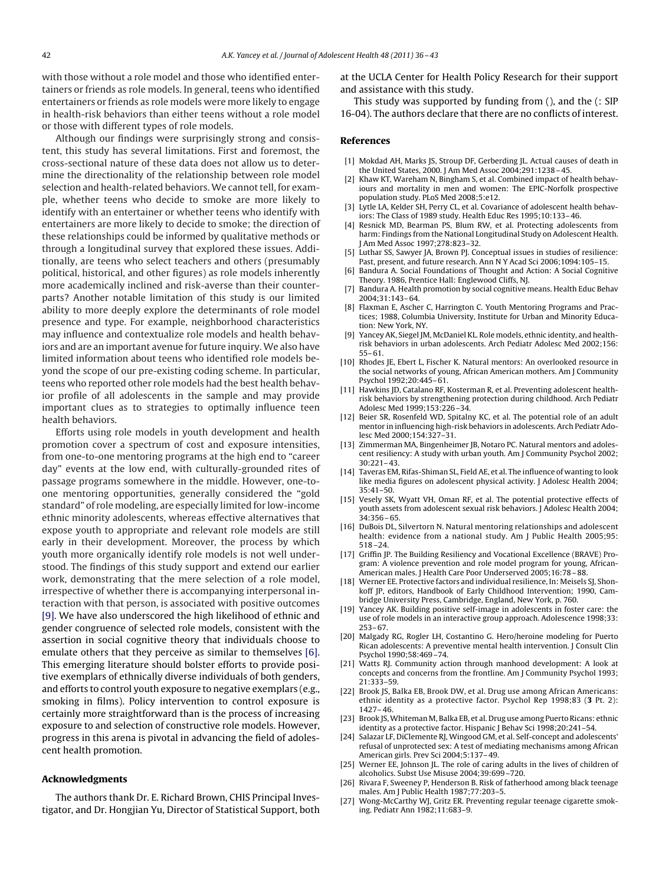<span id="page-6-0"></span>with those without a role model and those who identified entertainers or friends as role models. In general, teens who identified entertainers or friends as role models were more likely to engage in health-risk behaviors than either teens without a role model or those with different types of role models.

Although our findings were surprisingly strong and consistent, this study has several limitations. First and foremost, the cross-sectional nature of these data does not allow us to determine the directionality of the relationship between role model selection and health-related behaviors. We cannot tell, for example, whether teens who decide to smoke are more likely to identify with an entertainer or whether teens who identify with entertainers are more likely to decide to smoke; the direction of these relationships could be informed by qualitative methods or through a longitudinal survey that explored these issues. Additionally, are teens who select teachers and others (presumably political, historical, and other figures) as role models inherently more academically inclined and risk-averse than their counterparts? Another notable limitation of this study is our limited ability to more deeply explore the determinants of role model presence and type. For example, neighborhood characteristics may influence and contextualize role models and health behaviors and are an important avenue for future inquiry. We also have limited information about teens who identified role models beyond the scope of our pre-existing coding scheme. In particular, teens who reported other role models had the best health behavior profile of all adolescents in the sample and may provide important clues as to strategies to optimally influence teen health behaviors.

Efforts using role models in youth development and health promotion cover a spectrum of cost and exposure intensities, from one-to-one mentoring programs at the high end to "career day" events at the low end, with culturally-grounded rites of passage programs somewhere in the middle. However, one-toone mentoring opportunities, generally considered the "gold standard" of role modeling, are especially limited for low-income ethnic minority adolescents, whereas effective alternatives that expose youth to appropriate and relevant role models are still early in their development. Moreover, the process by which youth more organically identify role models is not well understood. The findings of this study support and extend our earlier work, demonstrating that the mere selection of a role model, irrespective of whether there is accompanying interpersonal interaction with that person, is associated with positive outcomes [9]. We have also underscored the high likelihood of ethnic and gender congruence of selected role models, consistent with the assertion in social cognitive theory that individuals choose to emulate others that they perceive as similar to themselves [6]. This emerging literature should bolster efforts to provide positive exemplars of ethnically diverse individuals of both genders, and efforts to control youth exposure to negative exemplars (e.g., smoking in films). Policy intervention to control exposure is certainly more straightforward than is the process of increasing exposure to and selection of constructive role models. However, progress in this arena is pivotal in advancing the field of adolescent health promotion.

### **Acknowledgments**

The authors thank Dr. E. Richard Brown, CHIS Principal Investigator, and Dr. Hongjian Yu, Director of Statistical Support, both at the UCLA Center for Health Policy Research for their support and assistance with this study.

This study was supported by funding from (), and the (: SIP 16-04). The authors declare that there are no conflicts of interest.

#### **References**

- [1] Mokdad AH, Marks JS, Stroup DF, Gerberding JL. Actual causes of death in the United States, 2000. J Am Med Assoc 2004;291:1238 – 45.
- [2] Khaw KT, Wareham N, Bingham S, et al. Combined impact of health behaviours and mortality in men and women: The EPIC-Norfolk prospective population study. PLoS Med 2008;5:e12.
- [3] Lytle LA, Kelder SH, Perry CL, et al. Covariance of adolescent health behaviors: The Class of 1989 study. Health Educ Res 1995;10:133– 46.
- [4] Resnick MD, Bearman PS, Blum RW, et al. Protecting adolescents from harm: Findings from the National Longitudinal Study on Adolescent Health. J Am Med Assoc 1997;278:823–32.
- [5] Luthar SS, Sawyer JA, Brown PJ. Conceptual issues in studies of resilience: Past, present, and future research. Ann N Y Acad Sci 2006;1094:105–15.
- Bandura A. Social Foundations of Thought and Action: A Social Cognitive Theory. 1986, Prentice Hall: Englewood Cliffs, NJ.
- [7] Bandura A. Health promotion by social cognitive means. Health Educ Behav 2004;31:143– 64.
- [8] Flaxman E, Ascher C, Harrington C. Youth Mentoring Programs and Practices; 1988, Columbia University, Institute for Urban and Minority Education: New York, NY.
- [9] Yancey AK, Siegel JM, McDaniel KL. Role models, ethnic identity, and healthrisk behaviors in urban adolescents. Arch Pediatr Adolesc Med 2002;156: 55– 61.
- [10] Rhodes JE, Ebert L, Fischer K. Natural mentors: An overlooked resource in the social networks of young, African American mothers. Am J Community Psychol 1992;20:445– 61.
- [11] Hawkins JD, Catalano RF, Kosterman R, et al. Preventing adolescent healthrisk behaviors by strengthening protection during childhood. Arch Pediatr Adolesc Med 1999;153:226 –34.
- [12] Beier SR, Rosenfeld WD, Spitalny KC, et al. The potential role of an adult mentor in influencing high-risk behaviors in adolescents. Arch Pediatr Adolesc Med 2000;154:327–31.
- [13] Zimmerman MA, Bingenheimer JB, Notaro PC. Natural mentors and adolescent resiliency: A study with urban youth. Am J Community Psychol 2002; 30:221– 43.
- [14] Taveras EM, Rifas-Shiman SL, Field AE, et al. The influence of wanting to look like media figures on adolescent physical activity. J Adolesc Health 2004; 35:41–50.
- [15] Vesely SK, Wyatt VH, Oman RF, et al. The potential protective effects of youth assets from adolescent sexual risk behaviors. J Adolesc Health 2004;  $34.356 - 65$
- [16] DuBois DL, Silvertorn N. Natural mentoring relationships and adolescent health: evidence from a national study. Am J Public Health 2005;95: 518 –24.
- [17] Griffin JP. The Building Resiliency and Vocational Excellence (BRAVE) Program: A violence prevention and role model program for young, African-American males. J Health Care Poor Underserved 2005;16:78 – 88.
- [18] Werner EE. Protective factors and individual resilience, In: Meisels SJ, Shonkoff JP, editors, Handbook of Early Childhood Intervention; 1990, Cambridge University Press, Cambridge, England, New York, p. 760.
- [19] Yancey AK. Building positive self-image in adolescents in foster care: the use of role models in an interactive group approach. Adolescence 1998;33: 253– 67.
- [20] Malgady RG, Rogler LH, Costantino G. Hero/heroine modeling for Puerto Rican adolescents: A preventive mental health intervention. J Consult Clin Psychol 1990;58:469 –74.
- [21] Watts RJ. Community action through manhood development: A look at concepts and concerns from the frontline. Am J Community Psychol 1993; 21:333–59.
- [22] Brook JS, Balka EB, Brook DW, et al. Drug use among African Americans: ethnic identity as a protective factor. Psychol Rep 1998;83 (**3** Pt. 2): 1427– 46.
- [23] Brook JS,Whiteman M, Balka EB, et al. Drug use among Puerto Ricans: ethnic identity as a protective factor. Hispanic J Behav Sci 1998;20:241–54.
- [24] Salazar LF, DiClemente RJ, Wingood GM, et al. Self-concept and adolescents' refusal of unprotected sex: A test of mediating mechanisms among African American girls. Prev Sci 2004;5:137– 49.
- [25] Werner EE, Johnson JL. The role of caring adults in the lives of children of alcoholics. Subst Use Misuse 2004;39:699 –720.
- [26] Rivara F, Sweeney P, Henderson B. Risk of fatherhood among black teenage males. Am J Public Health 1987;77:203–5.
- [27] Wong-McCarthy WJ, Gritz ER. Preventing regular teenage cigarette smoking. Pediatr Ann 1982;11:683–9.